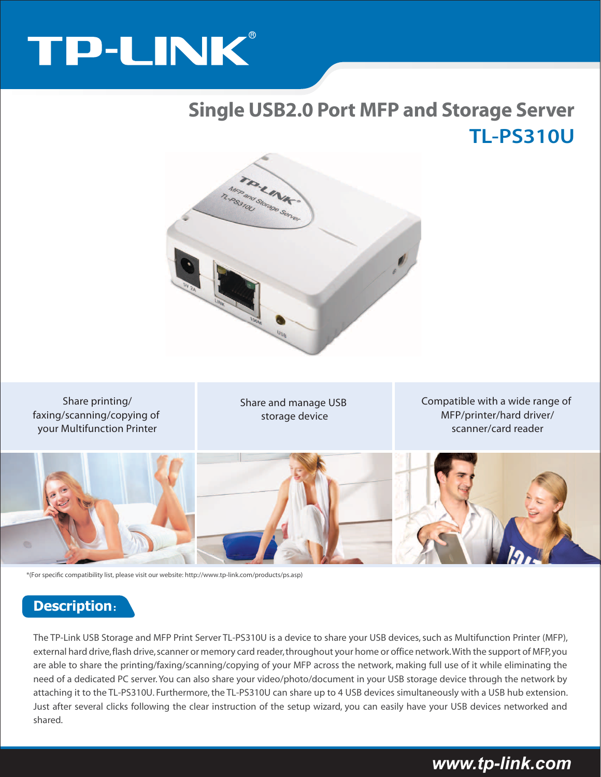# TP-LINK®

# **TL-PS310U Single USB2.0 Port MFP and Storage Server**



Share printing/ faxing/scanning/copying of your Multifunction Printer

Share and manage USB storage device

Compatible with a wide range of MFP/printer/hard driver/ scanner/card reader



\*(For specific compatibility list, please visit our website: http://www.tp-link.com/products/ps.asp)

### **Description**:

The TP-Link USB Storage and MFP Print Server TL-PS310U is a device to share your USB devices, such as Multifunction Printer (MFP), external hard drive, flash drive, scanner or memory card reader, throughout your home or office network. With the support of MFP, you are able to share the printing/faxing/scanning/copying of your MFP across the network, making full use of it while eliminating the need of a dedicated PC server. You can also share your video/photo/document in your USB storage device through the network by attaching it to the TL-PS310U. Furthermore, the TL-PS310U can share up to 4 USB devices simultaneously with a USB hub extension. Just after several clicks following the clear instruction of the setup wizard, you can easily have your USB devices networked and shared.

# *www.tp-link.com*